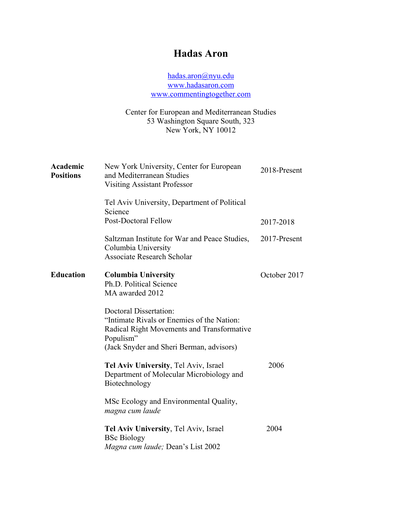# **Hadas Aron**

hadas.aron@nyu.edu www.hadasaron.com www.commentingtogether.com

Center for European and Mediterranean Studies 53 Washington Square South, 323 New York, NY 10012

| Academic<br><b>Positions</b> | New York University, Center for European<br>and Mediterranean Studies<br><b>Visiting Assistant Professor</b>                                                                       | 2018-Present |
|------------------------------|------------------------------------------------------------------------------------------------------------------------------------------------------------------------------------|--------------|
|                              | Tel Aviv University, Department of Political<br>Science                                                                                                                            |              |
|                              | Post-Doctoral Fellow                                                                                                                                                               | 2017-2018    |
|                              | Saltzman Institute for War and Peace Studies,<br>Columbia University<br><b>Associate Research Scholar</b>                                                                          | 2017-Present |
| <b>Education</b>             | <b>Columbia University</b><br>Ph.D. Political Science<br>MA awarded 2012                                                                                                           | October 2017 |
|                              | <b>Doctoral Dissertation:</b><br>"Intimate Rivals or Enemies of the Nation:<br>Radical Right Movements and Transformative<br>Populism"<br>(Jack Snyder and Sheri Berman, advisors) |              |
|                              | Tel Aviv University, Tel Aviv, Israel<br>Department of Molecular Microbiology and<br>Biotechnology                                                                                 | 2006         |
|                              | MSc Ecology and Environmental Quality,<br>magna cum laude                                                                                                                          |              |
|                              | Tel Aviv University, Tel Aviv, Israel<br><b>BSc Biology</b><br>Magna cum laude; Dean's List 2002                                                                                   | 2004         |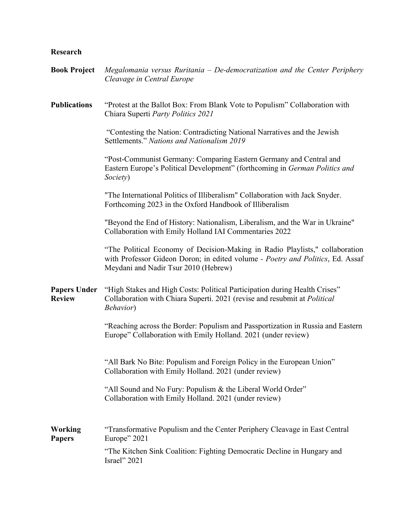## **Research**

# **Book Project** *Megalomania versus Ruritania – De-democratization and the Center Periphery Cleavage in Central Europe*  **Publications** "Protest at the Ballot Box: From Blank Vote to Populism" Collaboration with Chiara Superti *Party Politics 2021* "Contesting the Nation: Contradicting National Narratives and the Jewish Settlements." *Nations and Nationalism 2019* "Post-Communist Germany: Comparing Eastern Germany and Central and Eastern Europe's Political Development" (forthcoming in *German Politics and Society*) "The International Politics of Illiberalism" Collaboration with Jack Snyder. Forthcoming 2023 in the Oxford Handbook of Illiberalism "Beyond the End of History: Nationalism, Liberalism, and the War in Ukraine" Collaboration with Emily Holland IAI Commentaries 2022 "The Political Economy of Decision-Making in Radio Playlists," collaboration with Professor Gideon Doron; in edited volume *- Poetry and Politics*, Ed. Assaf Meydani and Nadir Tsur 2010 (Hebrew) **Papers Under Review** "High Stakes and High Costs: Political Participation during Health Crises" Collaboration with Chiara Superti. 2021 (revise and resubmit at *Political Behavior*) "Reaching across the Border: Populism and Passportization in Russia and Eastern Europe" Collaboration with Emily Holland. 2021 (under review) "All Bark No Bite: Populism and Foreign Policy in the European Union" Collaboration with Emily Holland. 2021 (under review) "All Sound and No Fury: Populism & the Liberal World Order" Collaboration with Emily Holland. 2021 (under review) **Working Papers** "Transformative Populism and the Center Periphery Cleavage in East Central Europe" 2021 "The Kitchen Sink Coalition: Fighting Democratic Decline in Hungary and Israel" 2021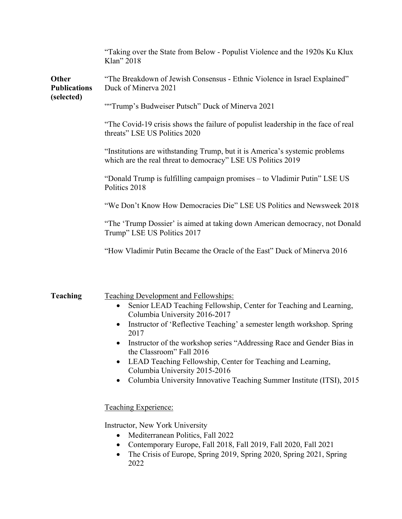|                                            | "Taking over the State from Below - Populist Violence and the 1920s Ku Klux<br>Klan" 2018                                                   |
|--------------------------------------------|---------------------------------------------------------------------------------------------------------------------------------------------|
| Other<br><b>Publications</b><br>(selected) | "The Breakdown of Jewish Consensus - Ethnic Violence in Israel Explained"<br>Duck of Minerva 2021                                           |
|                                            | "Trump's Budweiser Putsch" Duck of Minerva 2021                                                                                             |
|                                            | "The Covid-19 crisis shows the failure of populist leadership in the face of real<br>threats" LSE US Politics 2020                          |
|                                            | "Institutions are withstanding Trump, but it is America's systemic problems<br>which are the real threat to democracy" LSE US Politics 2019 |
|                                            | "Donald Trump is fulfilling campaign promises – to Vladimir Putin" LSE US<br>Politics 2018                                                  |
|                                            | "We Don't Know How Democracies Die" LSE US Politics and Newsweek 2018                                                                       |
|                                            | "The 'Trump Dossier' is aimed at taking down American democracy, not Donald<br>Trump" LSE US Politics 2017                                  |
|                                            | "How Vladimir Putin Became the Oracle of the East" Duck of Minerva 2016                                                                     |
|                                            |                                                                                                                                             |

| <b>Teaching</b> | Teaching Development and Fellowships:                                                                            |
|-----------------|------------------------------------------------------------------------------------------------------------------|
|                 | Senior LEAD Teaching Fellowship, Center for Teaching and Learning,<br>$\bullet$<br>Columbia University 2016-2017 |
|                 | Instructor of 'Reflective Teaching' a semester length workshop. Spring<br>$\bullet$<br>2017                      |
|                 | Instructor of the workshop series "Addressing Race and Gender Bias in<br>$\bullet$<br>the Classroom" Fall 2016   |
|                 | LEAD Teaching Fellowship, Center for Teaching and Learning,<br>$\bullet$<br>Columbia University 2015-2016        |
|                 | Columbia University Innovative Teaching Summer Institute (ITSI), 2015<br>$\bullet$                               |
|                 | Teaching Experience:                                                                                             |
|                 | Instructor, New York University<br>Mediterranean Politics, Fall 2022                                             |

- Contemporary Europe, Fall 2018, Fall 2019, Fall 2020, Fall 2021
- The Crisis of Europe, Spring 2019, Spring 2020, Spring 2021, Spring 2022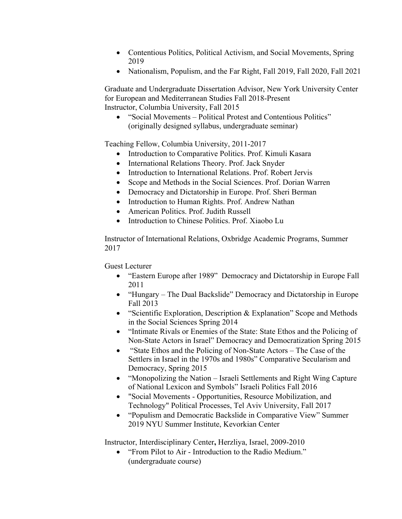- Contentious Politics, Political Activism, and Social Movements, Spring 2019
- Nationalism, Populism, and the Far Right, Fall 2019, Fall 2020, Fall 2021

Graduate and Undergraduate Dissertation Advisor, New York University Center for European and Mediterranean Studies Fall 2018-Present Instructor, Columbia University, Fall 2015

• "Social Movements – Political Protest and Contentious Politics" (originally designed syllabus, undergraduate seminar)

Teaching Fellow, Columbia University, 2011-2017

- Introduction to Comparative Politics. Prof. Kimuli Kasara
- International Relations Theory. Prof. Jack Snyder
- Introduction to International Relations. Prof. Robert Jervis
- Scope and Methods in the Social Sciences. Prof. Dorian Warren
- Democracy and Dictatorship in Europe. Prof. Sheri Berman
- Introduction to Human Rights. Prof. Andrew Nathan
- American Politics. Prof. Judith Russell
- Introduction to Chinese Politics. Prof. Xiaobo Lu

Instructor of International Relations, Oxbridge Academic Programs, Summer 2017

Guest Lecturer

- "Eastern Europe after 1989" Democracy and Dictatorship in Europe Fall 2011
- "Hungary The Dual Backslide" Democracy and Dictatorship in Europe Fall 2013
- "Scientific Exploration, Description & Explanation" Scope and Methods in the Social Sciences Spring 2014
- "Intimate Rivals or Enemies of the State: State Ethos and the Policing of Non-State Actors in Israel" Democracy and Democratization Spring 2015
- "State Ethos and the Policing of Non-State Actors The Case of the Settlers in Israel in the 1970s and 1980s" Comparative Secularism and Democracy, Spring 2015
- "Monopolizing the Nation Israeli Settlements and Right Wing Capture of National Lexicon and Symbols" Israeli Politics Fall 2016
- "Social Movements Opportunities, Resource Mobilization, and Technology" Political Processes, Tel Aviv University, Fall 2017
- "Populism and Democratic Backslide in Comparative View" Summer 2019 NYU Summer Institute, Kevorkian Center

Instructor, Interdisciplinary Center**,** Herzliya, Israel, 2009-2010

• "From Pilot to Air - Introduction to the Radio Medium." (undergraduate course)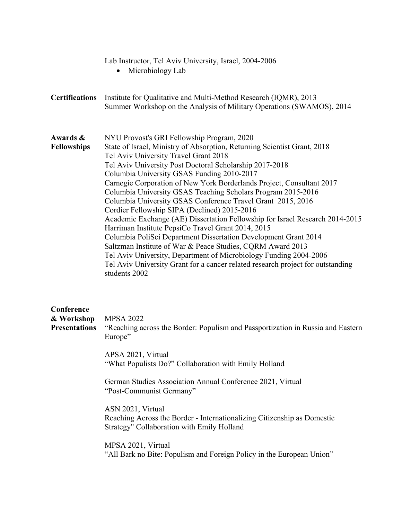|                                                  | Lab Instructor, Tel Aviv University, Israel, 2004-2006<br>Microbiology Lab                                                                                                                                                                                                                                                                                                                                                                                                                                                                                                                                                                                                                                                                                                                                                                                                                                                                                                       |
|--------------------------------------------------|----------------------------------------------------------------------------------------------------------------------------------------------------------------------------------------------------------------------------------------------------------------------------------------------------------------------------------------------------------------------------------------------------------------------------------------------------------------------------------------------------------------------------------------------------------------------------------------------------------------------------------------------------------------------------------------------------------------------------------------------------------------------------------------------------------------------------------------------------------------------------------------------------------------------------------------------------------------------------------|
| <b>Certifications</b>                            | Institute for Qualitative and Multi-Method Research (IQMR), 2013<br>Summer Workshop on the Analysis of Military Operations (SWAMOS), 2014                                                                                                                                                                                                                                                                                                                                                                                                                                                                                                                                                                                                                                                                                                                                                                                                                                        |
| Awards &<br><b>Fellowships</b>                   | NYU Provost's GRI Fellowship Program, 2020<br>State of Israel, Ministry of Absorption, Returning Scientist Grant, 2018<br>Tel Aviv University Travel Grant 2018<br>Tel Aviv University Post Doctoral Scholarship 2017-2018<br>Columbia University GSAS Funding 2010-2017<br>Carnegie Corporation of New York Borderlands Project, Consultant 2017<br>Columbia University GSAS Teaching Scholars Program 2015-2016<br>Columbia University GSAS Conference Travel Grant 2015, 2016<br>Cordier Fellowship SIPA (Declined) 2015-2016<br>Academic Exchange (AE) Dissertation Fellowship for Israel Research 2014-2015<br>Harriman Institute PepsiCo Travel Grant 2014, 2015<br>Columbia PoliSci Department Dissertation Development Grant 2014<br>Saltzman Institute of War & Peace Studies, CQRM Award 2013<br>Tel Aviv University, Department of Microbiology Funding 2004-2006<br>Tel Aviv University Grant for a cancer related research project for outstanding<br>students 2002 |
| Conference<br>& Workshop<br><b>Presentations</b> | <b>MPSA 2022</b><br>"Reaching across the Border: Populism and Passportization in Russia and Eastern<br>Europe"<br>APSA 2021, Virtual<br>"What Populists Do?" Collaboration with Emily Holland<br>German Studies Association Annual Conference 2021, Virtual<br>"Post-Communist Germany"<br>ASN 2021, Virtual<br>Reaching Across the Border - Internationalizing Citizenship as Domestic<br>Strategy" Collaboration with Emily Holland<br>MPSA 2021, Virtual                                                                                                                                                                                                                                                                                                                                                                                                                                                                                                                      |
|                                                  | "All Bark no Bite: Populism and Foreign Policy in the European Union"                                                                                                                                                                                                                                                                                                                                                                                                                                                                                                                                                                                                                                                                                                                                                                                                                                                                                                            |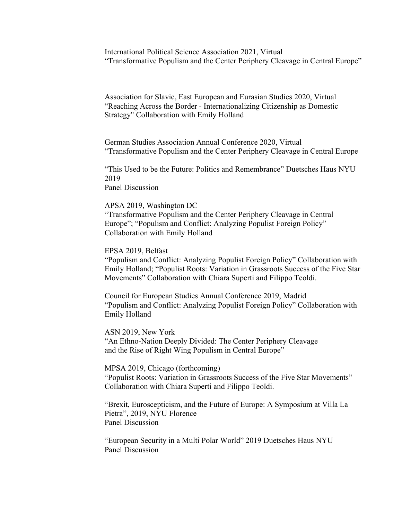International Political Science Association 2021, Virtual "Transformative Populism and the Center Periphery Cleavage in Central Europe"

Association for Slavic, East European and Eurasian Studies 2020, Virtual "Reaching Across the Border - Internationalizing Citizenship as Domestic Strategy" Collaboration with Emily Holland

German Studies Association Annual Conference 2020, Virtual "Transformative Populism and the Center Periphery Cleavage in Central Europe

"This Used to be the Future: Politics and Remembrance" Duetsches Haus NYU 2019

Panel Discussion

APSA 2019, Washington DC

"Transformative Populism and the Center Periphery Cleavage in Central Europe"; "Populism and Conflict: Analyzing Populist Foreign Policy" Collaboration with Emily Holland

EPSA 2019, Belfast

"Populism and Conflict: Analyzing Populist Foreign Policy" Collaboration with Emily Holland; "Populist Roots: Variation in Grassroots Success of the Five Star Movements" Collaboration with Chiara Superti and Filippo Teoldi.

Council for European Studies Annual Conference 2019, Madrid "Populism and Conflict: Analyzing Populist Foreign Policy" Collaboration with Emily Holland

ASN 2019, New York "An Ethno-Nation Deeply Divided: The Center Periphery Cleavage and the Rise of Right Wing Populism in Central Europe"

MPSA 2019, Chicago (forthcoming) "Populist Roots: Variation in Grassroots Success of the Five Star Movements" Collaboration with Chiara Superti and Filippo Teoldi.

"Brexit, Euroscepticism, and the Future of Europe: A Symposium at Villa La Pietra", 2019, NYU Florence Panel Discussion

"European Security in a Multi Polar World" 2019 Duetsches Haus NYU Panel Discussion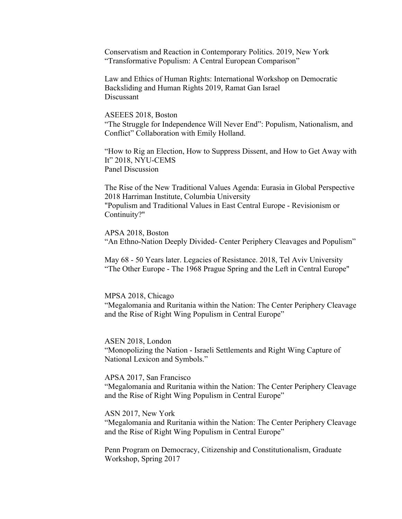Conservatism and Reaction in Contemporary Politics. 2019, New York "Transformative Populism: A Central European Comparison"

Law and Ethics of Human Rights: International Workshop on Democratic Backsliding and Human Rights 2019, Ramat Gan Israel Discussant

### ASEEES 2018, Boston

"The Struggle for Independence Will Never End": Populism, Nationalism, and Conflict" Collaboration with Emily Holland.

"How to Rig an Election, How to Suppress Dissent, and How to Get Away with It" 2018, NYU-CEMS Panel Discussion

The Rise of the New Traditional Values Agenda: Eurasia in Global Perspective 2018 Harriman Institute, Columbia University "Populism and Traditional Values in East Central Europe - Revisionism or Continuity?"

APSA 2018, Boston "An Ethno-Nation Deeply Divided- Center Periphery Cleavages and Populism"

May 68 - 50 Years later. Legacies of Resistance. 2018, Tel Aviv University "The Other Europe - The 1968 Prague Spring and the Left in Central Europe"

#### MPSA 2018, Chicago

"Megalomania and Ruritania within the Nation: The Center Periphery Cleavage and the Rise of Right Wing Populism in Central Europe"

#### ASEN 2018, London

"Monopolizing the Nation - Israeli Settlements and Right Wing Capture of National Lexicon and Symbols."

#### APSA 2017, San Francisco

"Megalomania and Ruritania within the Nation: The Center Periphery Cleavage and the Rise of Right Wing Populism in Central Europe"

### ASN 2017, New York

"Megalomania and Ruritania within the Nation: The Center Periphery Cleavage and the Rise of Right Wing Populism in Central Europe"

Penn Program on Democracy, Citizenship and Constitutionalism, Graduate Workshop, Spring 2017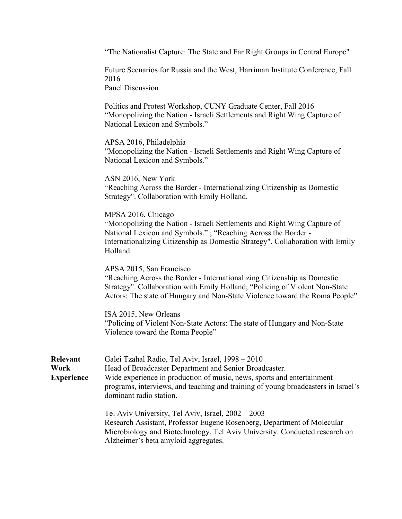"The Nationalist Capture: The State and Far Right Groups in Central Europe"

Future Scenarios for Russia and the West, Harriman Institute Conference, Fall 2016

Panel Discussion

Politics and Protest Workshop, CUNY Graduate Center, Fall 2016 "Monopolizing the Nation - Israeli Settlements and Right Wing Capture of National Lexicon and Symbols."

APSA 2016, Philadelphia

"Monopolizing the Nation - Israeli Settlements and Right Wing Capture of National Lexicon and Symbols."

ASN 2016, New York "Reaching Across the Border - Internationalizing Citizenship as Domestic Strategy". Collaboration with Emily Holland.

MPSA 2016, Chicago "Monopolizing the Nation - Israeli Settlements and Right Wing Capture of National Lexicon and Symbols." ; "Reaching Across the Border - Internationalizing Citizenship as Domestic Strategy". Collaboration with Emily Holland.

APSA 2015, San Francisco

"Reaching Across the Border - Internationalizing Citizenship as Domestic Strategy". Collaboration with Emily Holland; "Policing of Violent Non-State Actors: The state of Hungary and Non-State Violence toward the Roma People"

ISA 2015, New Orleans "Policing of Violent Non-State Actors: The state of Hungary and Non-State Violence toward the Roma People"

| Relevant<br>Work  | Galei Tzahal Radio, Tel Aviv, Israel, 1998 – 2010<br>Head of Broadcaster Department and Senior Broadcaster.                                                                                                                                         |
|-------------------|-----------------------------------------------------------------------------------------------------------------------------------------------------------------------------------------------------------------------------------------------------|
| <b>Experience</b> | Wide experience in production of music, news, sports and entertainment<br>programs, interviews, and teaching and training of young broadcasters in Israel's<br>dominant radio station.                                                              |
|                   | Tel Aviv University, Tel Aviv, Israel, 2002 – 2003<br>Research Assistant, Professor Eugene Rosenberg, Department of Molecular<br>Microbiology and Biotechnology, Tel Aviv University. Conducted research on<br>Alzheimer's beta amyloid aggregates. |